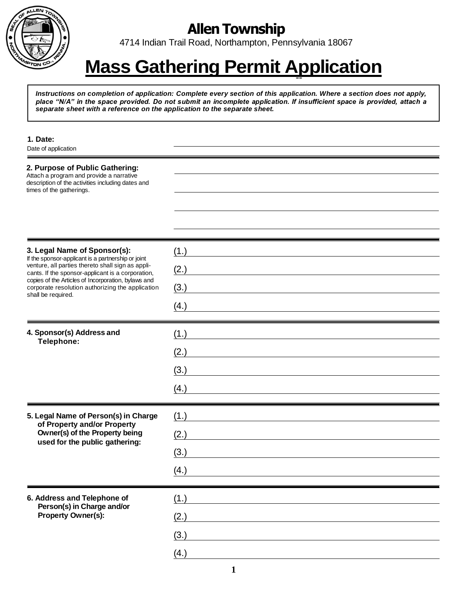

# **Allen Township**

4714 Indian Trail Road, Northampton, Pennsylvania 18067

# -- **Mass Gathering Permit Application**

*Instructions on completion of application: Complete every section of this application. Where a section does not apply, place "N/A" in the space provided. Do not submit an incomplete application. If insufficient space is provided, attach a separate sheet with a reference on the application to the separate sheet.*

| 1. Date:<br>Date of application                                                                                                                                                                                                                                                                                               |                              |
|-------------------------------------------------------------------------------------------------------------------------------------------------------------------------------------------------------------------------------------------------------------------------------------------------------------------------------|------------------------------|
| 2. Purpose of Public Gathering:<br>Attach a program and provide a narrative<br>description of the activities including dates and<br>times of the gatherings.                                                                                                                                                                  |                              |
|                                                                                                                                                                                                                                                                                                                               |                              |
| 3. Legal Name of Sponsor(s):<br>If the sponsor-applicant is a partnership or joint<br>venture, all parties thereto shall sign as appli-<br>cants. If the sponsor-applicant is a corporation,<br>copies of the Articles of Incorporation, bylaws and<br>corporate resolution authorizing the application<br>shall be required. | (1.)<br>(2.)<br>(3.)<br>(4.) |
| 4. Sponsor(s) Address and<br>Telephone:                                                                                                                                                                                                                                                                                       | (1.)<br>(2.)<br>(3.)<br>(4.) |
| 5. Legal Name of Person(s) in Charge<br>of Property and/or Property<br>Owner(s) of the Property being<br>used for the public gathering:                                                                                                                                                                                       | (1.)<br>(2.)<br>(3.)<br>(4.) |
| 6. Address and Telephone of<br>Person(s) in Charge and/or<br>Property Owner(s):                                                                                                                                                                                                                                               | (1.)<br>(2.)<br>(3.)<br>(4.) |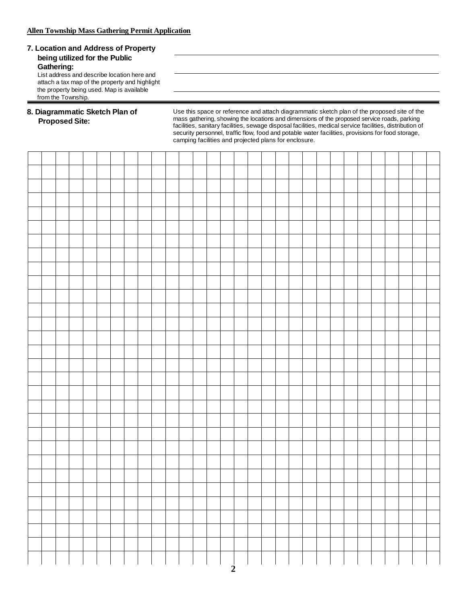#### **7. Location and Address of Property being utilized for the Public Gathering:**

List address and describe location here and attach a tax map of the property and highlight the property being used. Map is available from the Township.

### **8. Diagrammatic Sketch Plan of Proposed Site:**

Use this space or reference and attach diagrammatic sketch plan of the proposed site of the mass gathering, showing the locations and dimensions of the proposed service roads, parking facilities, sanitary facilities, sewage disposal facilities, medical service facilities, distribution of security personnel, traffic flow, food and potable water facilities, provisions for food storage, camping facilities and projected plans for enclosure.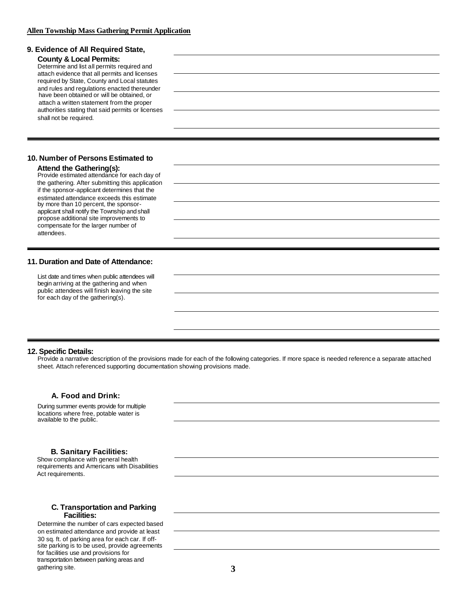# **9. Evidence of All Required State,**

**County & Local Permits:** Determine and list all permits required and attach evidence that all permits and licenses required by State, County and Local statutes and rules and regulations enacted thereunder have been obtained or will be obtained, or attach a written statement from the proper authorities stating that said permits or licenses shall not be required.

#### **10. Number of Persons Estimated to**

#### **Attend the Gathering(s):**

Provide estimated attendance for each day of the gathering. After submitting this application if the sponsor-applicant determines that the estimated attendance exceeds this estimate by more than 10 percent, the sponsorapplicant shall notify the Township and shall propose additional site improvements to compensate for the larger number of attendees.

#### **11. Duration and Date of Attendance:**

List date and times when public attendees will begin arriving at the gathering and when public attendees will finish leaving the site for each day of the gathering(s).

#### **12. Specific Details:**

Provide a narrative description of the provisions made for each of the following categories. If more space is needed reference a separate attached sheet. Attach referenced supporting documentation showing provisions made.

#### **A. Food and Drink:**

During summer events provide for multiple locations where free, potable water is available to the public.

#### **B. Sanitary Facilities:**

Show compliance with general health requirements and Americans with Disabilities Act requirements.

#### **C. Transportation and Parking Facilities:**

Determine the number of cars expected based on estimated attendance and provide at least 30 sq. ft. of parking area for each car. If offsite parking is to be used, provide agreements for facilities use and provisions for transportation between parking areas and gathering site. **3**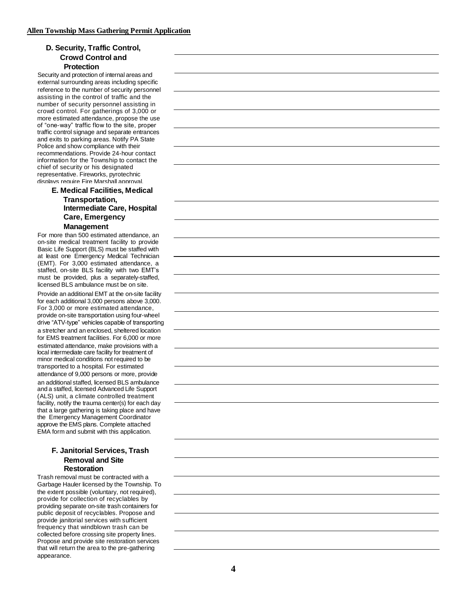# **D. Security, Traffic Control, Crowd Control and Protection**

Security and protection of internal areas and external surrounding areas including specific reference to the number of security personnel assisting in the control of traffic and the number of security personnel assisting in crowd control. For gatherings of 3,000 or more estimated attendance, propose the use of "one-way" traffic flow to the site, proper traffic control signage and separate entrances and exits to parking areas. Notify PA State Police and show compliance with their recommendations. Provide 24-hour contact information for the Township to contact the chief of security or his designated representative. Fireworks, pyrotechnic displays require Fire Marshall approval.

#### **E. Medical Facilities, Medical Transportation, Intermediate Care, Hospital Care, Emergency Management**

For more than 500 estimated attendance, an on-site medical treatment facility to provide Basic Life Support (BLS) must be staffed with at least one Emergency Medical Technician (EMT). For 3,000 estimated attendance, a staffed, on-site BLS facility with two EMT's must be provided, plus a separately-staffed, licensed BLS ambulance must be on site.

Provide an additional EMT at the on-site facility for each additional 3,000 persons above 3,000. For 3,000 or more estimated attendance, provide on-site transportation using four-wheel drive "ATV-type" vehicles capable of transporting a stretcher and an enclosed, sheltered location for EMS treatment facilities. For 6,000 or more estimated attendance, make provisions with a local intermediate care facility for treatment of minor medical conditions not required to be transported to a hospital. For estimated attendance of 9,000 persons or more, provide an additional staffed, licensed BLS ambulance and a staffed, licensed Advanced Life Support (ALS) unit, a climate controlled treatment facility, notify the trauma center(s) for each day that a large gathering is taking place and have the Emergency Management Coordinator approve the EMS plans. Complete attached EMA form and submit with this application.

#### **F. Janitorial Services, Trash Removal and Site Restoration**

Trash removal must be contracted with a Garbage Hauler licensed by the Township. To the extent possible (voluntary, not required), provide for collection of recyclables by providing separate on-site trash containers for public deposit of recyclables. Propose and provide janitorial services with sufficient frequency that windblown trash can be collected before crossing site property lines. Propose and provide site restoration services that will return the area to the pre-gathering appearance.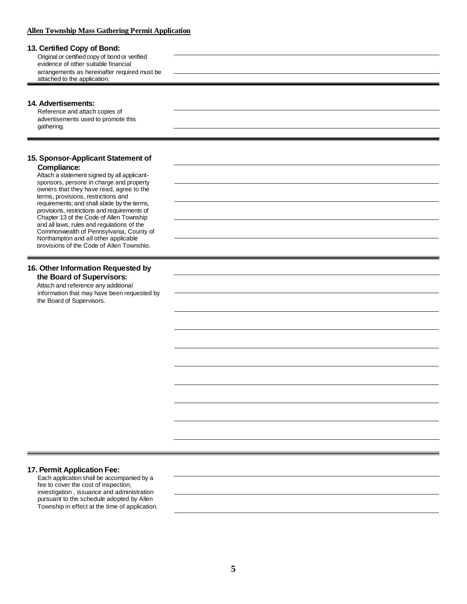# **Allen Township Mass Gathering Permit Application**

| 13. Certified Copy of Bond:                                                            |  |
|----------------------------------------------------------------------------------------|--|
| Original or certified copy of bond or verified                                         |  |
| evidence of other suitable financial                                                   |  |
| arrangements as hereinafter required must be                                           |  |
| attached to the application.                                                           |  |
|                                                                                        |  |
|                                                                                        |  |
| 14. Advertisements:                                                                    |  |
| Reference and attach copies of                                                         |  |
| advertisements used to promote this                                                    |  |
| gathering.                                                                             |  |
|                                                                                        |  |
|                                                                                        |  |
| 15. Sponsor-Applicant Statement of                                                     |  |
| <b>Compliance:</b>                                                                     |  |
| Attach a statement signed by all applicant-                                            |  |
| sponsors, persons in charge and property                                               |  |
| owners that they have read, agree to the                                               |  |
| terms, provisions, restrictions and                                                    |  |
| requirements; and shall abide by the terms,                                            |  |
| provisions, restrictions and requirements of                                           |  |
| Chapter 13 of the Code of Allen Township<br>and all laws, rules and regulations of the |  |
| Commonwealth of Pennsylvania, County of                                                |  |
| Northampton and all other applicable                                                   |  |
| provisions of the Code of Allen Township.                                              |  |
|                                                                                        |  |
|                                                                                        |  |
| 16. Other Information Requested by                                                     |  |
| the Board of Supervisors:                                                              |  |
| Attach and reference any additional                                                    |  |
| information that may have been requested by                                            |  |
| the Board of Supervisors.                                                              |  |
|                                                                                        |  |
|                                                                                        |  |
|                                                                                        |  |
|                                                                                        |  |
|                                                                                        |  |
|                                                                                        |  |
|                                                                                        |  |
|                                                                                        |  |
|                                                                                        |  |
|                                                                                        |  |
|                                                                                        |  |
|                                                                                        |  |
|                                                                                        |  |
|                                                                                        |  |
|                                                                                        |  |
|                                                                                        |  |
|                                                                                        |  |
|                                                                                        |  |
|                                                                                        |  |
|                                                                                        |  |
|                                                                                        |  |
| 17. Permit Application Fee:<br>Each application shall be accompanied by a              |  |

fee to cover the cost of inspection, investigation , issuance and administration pursuant to the schedule adopted by Allen Township in effect at the time of application.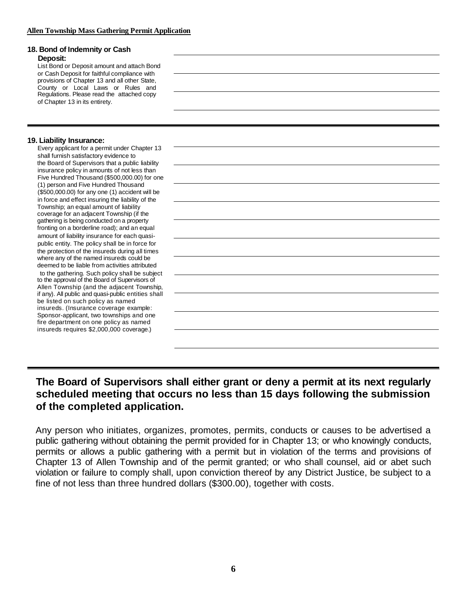| 18. Bond of Indemnity or Cash<br>Deposit:<br>List Bond or Deposit amount and attach Bond<br>or Cash Deposit for faithful compliance with<br>provisions of Chapter 13 and all other State,<br>County or Local Laws or Rules and<br>Regulations. Please read the attached copy<br>of Chapter 13 in its entirety.                                                                                                                                                                                                                                                                                                                                                                                                                                                                                                                                                                                                                                                                                                                                                                                                                                                                                                                                                                              |  |
|---------------------------------------------------------------------------------------------------------------------------------------------------------------------------------------------------------------------------------------------------------------------------------------------------------------------------------------------------------------------------------------------------------------------------------------------------------------------------------------------------------------------------------------------------------------------------------------------------------------------------------------------------------------------------------------------------------------------------------------------------------------------------------------------------------------------------------------------------------------------------------------------------------------------------------------------------------------------------------------------------------------------------------------------------------------------------------------------------------------------------------------------------------------------------------------------------------------------------------------------------------------------------------------------|--|
| 19. Liability Insurance:<br>Every applicant for a permit under Chapter 13<br>shall furnish satisfactory evidence to<br>the Board of Supervisors that a public liability<br>insurance policy in amounts of not less than<br>Five Hundred Thousand (\$500,000.00) for one<br>(1) person and Five Hundred Thousand<br>(\$500,000.00) for any one (1) accident will be<br>in force and effect insuring the liability of the<br>Township; an equal amount of liability<br>coverage for an adjacent Township (if the<br>gathering is being conducted on a property<br>fronting on a borderline road); and an equal<br>amount of liability insurance for each quasi-<br>public entity. The policy shall be in force for<br>the protection of the insureds during all times<br>where any of the named insureds could be<br>deemed to be liable from activities attributed<br>to the gathering. Such policy shall be subject<br>to the approval of the Board of Supervisors of<br>Allen Township (and the adjacent Township,<br>if any). All public and quasi-public entities shall<br>be listed on such policy as named<br>insureds. (Insurance coverage example:<br>Sponsor-applicant, two townships and one<br>fire department on one policy as named<br>insureds requires \$2,000,000 coverage.) |  |

# **The Board of Supervisors shall either grant or deny a permit at its next regularly scheduled meeting that occurs no less than 15 days following the submission of the completed application.**

Any person who initiates, organizes, promotes, permits, conducts or causes to be advertised a public gathering without obtaining the permit provided for in Chapter 13; or who knowingly conducts, permits or allows a public gathering with a permit but in violation of the terms and provisions of Chapter 13 of Allen Township and of the permit granted; or who shall counsel, aid or abet such violation or failure to comply shall, upon conviction thereof by any District Justice, be subject to a fine of not less than three hundred dollars (\$300.00), together with costs.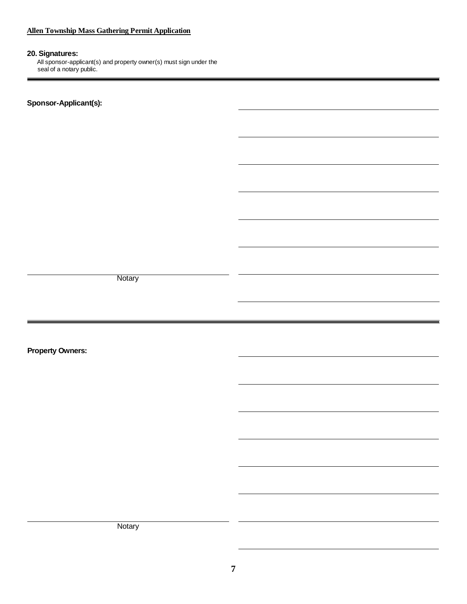# **Allen Township Mass Gathering Permit Application**

# **20. Signatures:**

All sponsor-applicant(s) and property owner(s) must sign under the seal of a notary public.

**Sponsor-Applicant(s):**

**Notary** 

**Property Owners:**

Notary